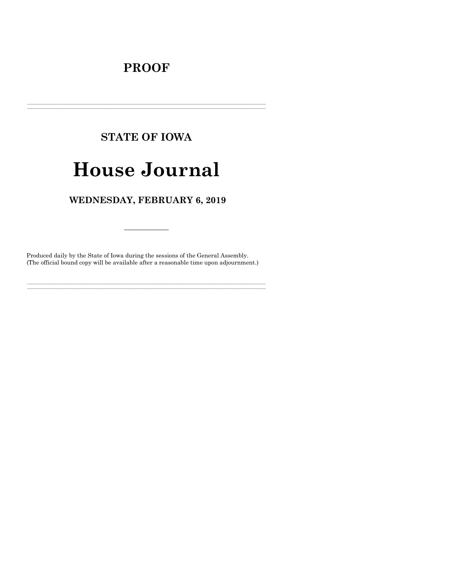# **PROOF**

# **STATE OF IOWA**

# **House Journal**

# WEDNESDAY, FEBRUARY 6, 2019

Produced daily by the State of Iowa during the sessions of the General Assembly. (The official bound copy will be available after a reasonable time upon adjournment.)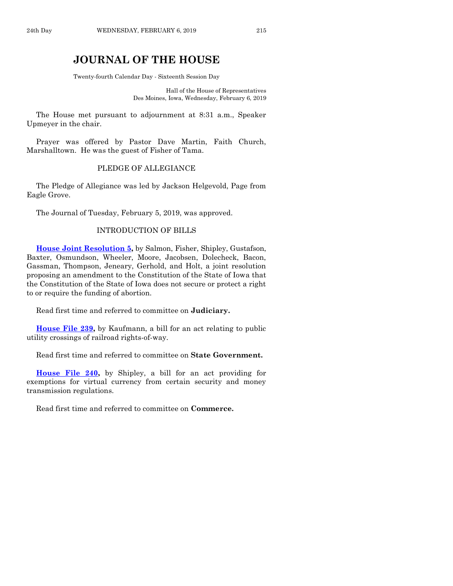# **JOURNAL OF THE HOUSE**

Twenty-fourth Calendar Day - Sixteenth Session Day

Hall of the House of Representatives Des Moines, Iowa, Wednesday, February 6, 2019

The House met pursuant to adjournment at 8:31 a.m., Speaker Upmeyer in the chair.

Prayer was offered by Pastor Dave Martin, Faith Church, Marshalltown. He was the guest of Fisher of Tama.

#### PLEDGE OF ALLEGIANCE

The Pledge of Allegiance was led by Jackson Helgevold, Page from Eagle Grove.

The Journal of Tuesday, February 5, 2019, was approved.

#### INTRODUCTION OF BILLS

**[House Joint Resolution 5,](https://www.legis.iowa.gov/legislation/BillBook?ga=88&ba=HJR5)** by Salmon, Fisher, Shipley, Gustafson, Baxter, Osmundson, Wheeler, Moore, Jacobsen, Dolecheck, Bacon, Gassman, Thompson, Jeneary, Gerhold, and Holt, a joint resolution proposing an amendment to the Constitution of the State of Iowa that the Constitution of the State of Iowa does not secure or protect a right to or require the funding of abortion.

Read first time and referred to committee on **Judiciary.**

**[House File 239,](https://www.legis.iowa.gov/legislation/BillBook?ga=88&ba=HF239)** by Kaufmann, a bill for an act relating to public utility crossings of railroad rights-of-way.

Read first time and referred to committee on **State Government.**

**[House File 240,](https://www.legis.iowa.gov/legislation/BillBook?ga=88&ba=HF240)** by Shipley, a bill for an act providing for exemptions for virtual currency from certain security and money transmission regulations.

Read first time and referred to committee on **Commerce.**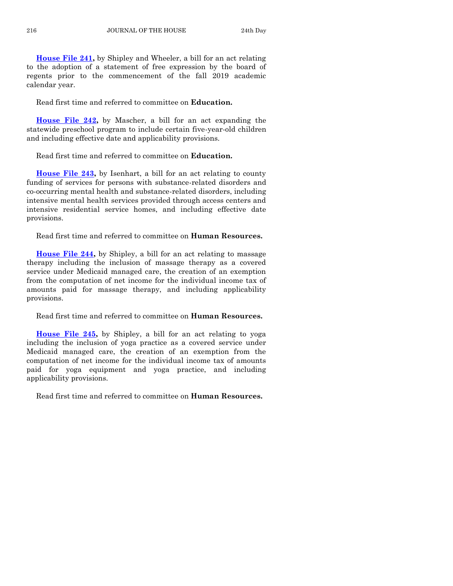**[House File 241,](https://www.legis.iowa.gov/legislation/BillBook?ga=88&ba=HF241)** by Shipley and Wheeler, a bill for an act relating to the adoption of a statement of free expression by the board of regents prior to the commencement of the fall 2019 academic calendar year.

Read first time and referred to committee on **Education.**

**[House File 242,](https://www.legis.iowa.gov/legislation/BillBook?ga=88&ba=HF242)** by Mascher, a bill for an act expanding the statewide preschool program to include certain five-year-old children and including effective date and applicability provisions.

Read first time and referred to committee on **Education.**

**[House File 243,](https://www.legis.iowa.gov/legislation/BillBook?ga=88&ba=HF243)** by Isenhart, a bill for an act relating to county funding of services for persons with substance-related disorders and co-occurring mental health and substance-related disorders, including intensive mental health services provided through access centers and intensive residential service homes, and including effective date provisions.

Read first time and referred to committee on **Human Resources.**

**[House File 244,](https://www.legis.iowa.gov/legislation/BillBook?ga=88&ba=HF244)** by Shipley, a bill for an act relating to massage therapy including the inclusion of massage therapy as a covered service under Medicaid managed care, the creation of an exemption from the computation of net income for the individual income tax of amounts paid for massage therapy, and including applicability provisions.

Read first time and referred to committee on **Human Resources.**

**[House File 245,](https://www.legis.iowa.gov/legislation/BillBook?ga=88&ba=HF245)** by Shipley, a bill for an act relating to yoga including the inclusion of yoga practice as a covered service under Medicaid managed care, the creation of an exemption from the computation of net income for the individual income tax of amounts paid for yoga equipment and yoga practice, and including applicability provisions.

Read first time and referred to committee on **Human Resources.**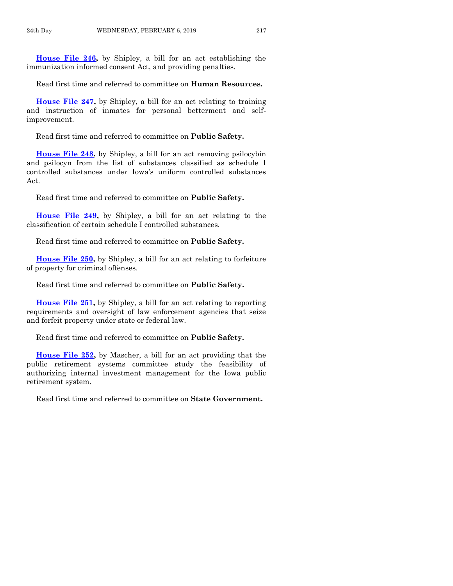**[House File 246,](https://www.legis.iowa.gov/legislation/BillBook?ga=88&ba=HF246)** by Shipley, a bill for an act establishing the immunization informed consent Act, and providing penalties.

Read first time and referred to committee on **Human Resources.**

**[House File 247,](https://www.legis.iowa.gov/legislation/BillBook?ga=88&ba=HF247)** by Shipley, a bill for an act relating to training and instruction of inmates for personal betterment and selfimprovement.

Read first time and referred to committee on **Public Safety.**

**[House File 248,](https://www.legis.iowa.gov/legislation/BillBook?ga=88&ba=HF248)** by Shipley, a bill for an act removing psilocybin and psilocyn from the list of substances classified as schedule I controlled substances under Iowa's uniform controlled substances Act.

Read first time and referred to committee on **Public Safety.**

**[House File 249,](https://www.legis.iowa.gov/legislation/BillBook?ga=88&ba=HF249)** by Shipley, a bill for an act relating to the classification of certain schedule I controlled substances.

Read first time and referred to committee on **Public Safety.**

**[House File 250,](https://www.legis.iowa.gov/legislation/BillBook?ga=88&ba=HF250)** by Shipley, a bill for an act relating to forfeiture of property for criminal offenses.

Read first time and referred to committee on **Public Safety.**

**[House File 251,](https://www.legis.iowa.gov/legislation/BillBook?ga=88&ba=HF251)** by Shipley, a bill for an act relating to reporting requirements and oversight of law enforcement agencies that seize and forfeit property under state or federal law.

Read first time and referred to committee on **Public Safety.**

**[House File 252,](https://www.legis.iowa.gov/legislation/BillBook?ga=88&ba=HF252)** by Mascher, a bill for an act providing that the public retirement systems committee study the feasibility of authorizing internal investment management for the Iowa public retirement system.

Read first time and referred to committee on **State Government.**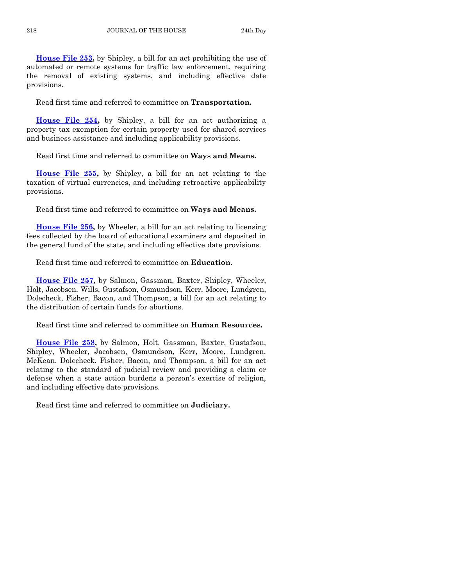**[House File 253,](https://www.legis.iowa.gov/legislation/BillBook?ga=88&ba=HF253)** by Shipley, a bill for an act prohibiting the use of automated or remote systems for traffic law enforcement, requiring the removal of existing systems, and including effective date provisions.

Read first time and referred to committee on **Transportation.**

**[House File 254,](https://www.legis.iowa.gov/legislation/BillBook?ga=88&ba=HF254)** by Shipley, a bill for an act authorizing a property tax exemption for certain property used for shared services and business assistance and including applicability provisions.

Read first time and referred to committee on **Ways and Means.**

**[House File 255,](https://www.legis.iowa.gov/legislation/BillBook?ga=88&ba=HF255)** by Shipley, a bill for an act relating to the taxation of virtual currencies, and including retroactive applicability provisions.

Read first time and referred to committee on **Ways and Means.**

**[House File 256,](https://www.legis.iowa.gov/legislation/BillBook?ga=88&ba=HF256)** by Wheeler, a bill for an act relating to licensing fees collected by the board of educational examiners and deposited in the general fund of the state, and including effective date provisions.

Read first time and referred to committee on **Education.**

**[House File 257,](https://www.legis.iowa.gov/legislation/BillBook?ga=88&ba=HF257)** by Salmon, Gassman, Baxter, Shipley, Wheeler, Holt, Jacobsen, Wills, Gustafson, Osmundson, Kerr, Moore, Lundgren, Dolecheck, Fisher, Bacon, and Thompson, a bill for an act relating to the distribution of certain funds for abortions.

Read first time and referred to committee on **Human Resources.**

**[House File 258,](https://www.legis.iowa.gov/legislation/BillBook?ga=88&ba=HF258)** by Salmon, Holt, Gassman, Baxter, Gustafson, Shipley, Wheeler, Jacobsen, Osmundson, Kerr, Moore, Lundgren, McKean, Dolecheck, Fisher, Bacon, and Thompson, a bill for an act relating to the standard of judicial review and providing a claim or defense when a state action burdens a person's exercise of religion, and including effective date provisions.

Read first time and referred to committee on **Judiciary.**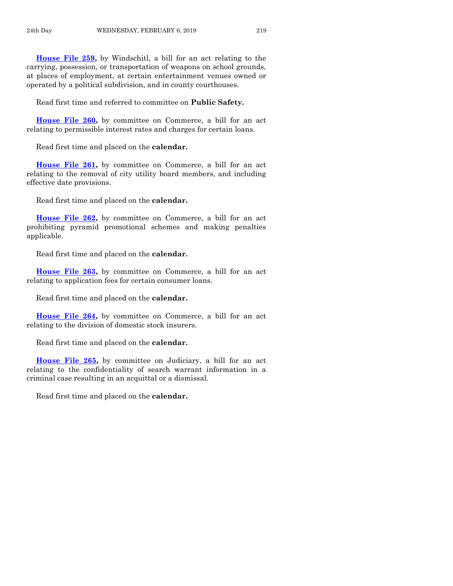**[House File 259,](https://www.legis.iowa.gov/legislation/BillBook?ga=88&ba=HF259)** by Windschitl, a bill for an act relating to the carrying, possession, or transportation of weapons on school grounds, at places of employment, at certain entertainment venues owned or operated by a political subdivision, and in county courthouses.

Read first time and referred to committee on **Public Safety.**

**[House File 260,](https://www.legis.iowa.gov/legislation/BillBook?ga=88&ba=HF260)** by committee on Commerce, a bill for an act relating to permissible interest rates and charges for certain loans.

Read first time and placed on the **calendar.**

**[House File 261,](https://www.legis.iowa.gov/legislation/BillBook?ga=88&ba=HF261)** by committee on Commerce, a bill for an act relating to the removal of city utility board members, and including effective date provisions.

Read first time and placed on the **calendar.**

**[House File 262,](https://www.legis.iowa.gov/legislation/BillBook?ga=88&ba=HF262)** by committee on Commerce, a bill for an act prohibiting pyramid promotional schemes and making penalties applicable.

Read first time and placed on the **calendar.**

**[House File 263,](https://www.legis.iowa.gov/legislation/BillBook?ga=88&ba=HF263)** by committee on Commerce, a bill for an act relating to application fees for certain consumer loans.

Read first time and placed on the **calendar.**

**[House File 264,](https://www.legis.iowa.gov/legislation/BillBook?ga=88&ba=HF264)** by committee on Commerce, a bill for an act relating to the division of domestic stock insurers.

Read first time and placed on the **calendar.**

**[House File 265,](https://www.legis.iowa.gov/legislation/BillBook?ga=88&ba=HF265)** by committee on Judiciary, a bill for an act relating to the confidentiality of search warrant information in a criminal case resulting in an acquittal or a dismissal.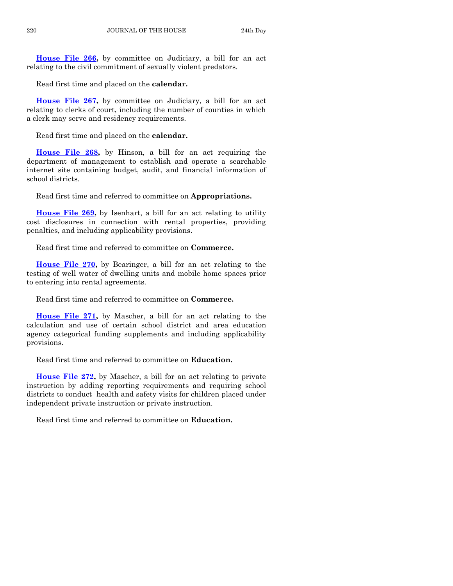**[House File 266,](https://www.legis.iowa.gov/legislation/BillBook?ga=88&ba=HF266)** by committee on Judiciary, a bill for an act relating to the civil commitment of sexually violent predators.

Read first time and placed on the **calendar.**

**[House File 267,](https://www.legis.iowa.gov/legislation/BillBook?ga=88&ba=HF267)** by committee on Judiciary, a bill for an act relating to clerks of court, including the number of counties in which a clerk may serve and residency requirements.

Read first time and placed on the **calendar.**

**[House File 268,](https://www.legis.iowa.gov/legislation/BillBook?ga=88&ba=HF268)** by Hinson, a bill for an act requiring the department of management to establish and operate a searchable internet site containing budget, audit, and financial information of school districts.

Read first time and referred to committee on **Appropriations.**

**[House File 269,](https://www.legis.iowa.gov/legislation/BillBook?ga=88&ba=HF269)** by Isenhart, a bill for an act relating to utility cost disclosures in connection with rental properties, providing penalties, and including applicability provisions.

Read first time and referred to committee on **Commerce.**

**[House File 270,](https://www.legis.iowa.gov/legislation/BillBook?ga=88&ba=HF270)** by Bearinger, a bill for an act relating to the testing of well water of dwelling units and mobile home spaces prior to entering into rental agreements.

Read first time and referred to committee on **Commerce.**

**[House File 271,](https://www.legis.iowa.gov/legislation/BillBook?ga=88&ba=HF271)** by Mascher, a bill for an act relating to the calculation and use of certain school district and area education agency categorical funding supplements and including applicability provisions.

Read first time and referred to committee on **Education.**

**[House File 272,](https://www.legis.iowa.gov/legislation/BillBook?ga=88&ba=HF272)** by Mascher, a bill for an act relating to private instruction by adding reporting requirements and requiring school districts to conduct health and safety visits for children placed under independent private instruction or private instruction.

Read first time and referred to committee on **Education.**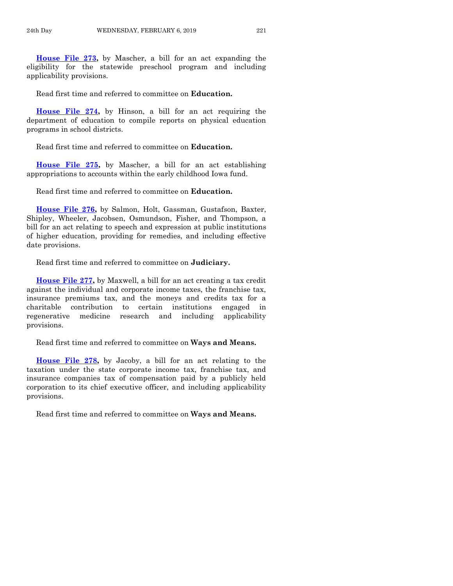**[House File 273,](https://www.legis.iowa.gov/legislation/BillBook?ga=88&ba=HF273)** by Mascher, a bill for an act expanding the eligibility for the statewide preschool program and including applicability provisions.

Read first time and referred to committee on **Education.**

**[House File 274,](https://www.legis.iowa.gov/legislation/BillBook?ga=88&ba=HF274)** by Hinson, a bill for an act requiring the department of education to compile reports on physical education programs in school districts.

Read first time and referred to committee on **Education.**

**[House File 275,](https://www.legis.iowa.gov/legislation/BillBook?ga=88&ba=HF275)** by Mascher, a bill for an act establishing appropriations to accounts within the early childhood Iowa fund.

Read first time and referred to committee on **Education.**

**[House File 276,](https://www.legis.iowa.gov/legislation/BillBook?ga=88&ba=HF276)** by Salmon, Holt, Gassman, Gustafson, Baxter, Shipley, Wheeler, Jacobsen, Osmundson, Fisher, and Thompson, a bill for an act relating to speech and expression at public institutions of higher education, providing for remedies, and including effective date provisions.

Read first time and referred to committee on **Judiciary.**

**[House File 277,](https://www.legis.iowa.gov/legislation/BillBook?ga=88&ba=HF277)** by Maxwell, a bill for an act creating a tax credit against the individual and corporate income taxes, the franchise tax, insurance premiums tax, and the moneys and credits tax for a charitable contribution to certain institutions engaged in regenerative medicine research and including applicability provisions.

Read first time and referred to committee on **Ways and Means.**

**[House File 278,](https://www.legis.iowa.gov/legislation/BillBook?ga=88&ba=HF278)** by Jacoby, a bill for an act relating to the taxation under the state corporate income tax, franchise tax, and insurance companies tax of compensation paid by a publicly held corporation to its chief executive officer, and including applicability provisions.

Read first time and referred to committee on **Ways and Means.**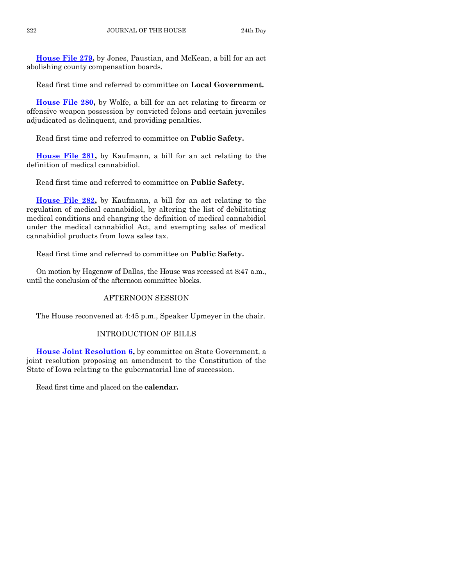**[House File 279,](https://www.legis.iowa.gov/legislation/BillBook?ga=88&ba=HF279)** by Jones, Paustian, and McKean, a bill for an act abolishing county compensation boards.

Read first time and referred to committee on **Local Government.**

**[House File 280,](https://www.legis.iowa.gov/legislation/BillBook?ga=88&ba=HF280)** by Wolfe, a bill for an act relating to firearm or offensive weapon possession by convicted felons and certain juveniles adjudicated as delinquent, and providing penalties.

Read first time and referred to committee on **Public Safety.**

**[House File 281,](https://www.legis.iowa.gov/legislation/BillBook?ga=88&ba=HF281)** by Kaufmann, a bill for an act relating to the definition of medical cannabidiol.

Read first time and referred to committee on **Public Safety.**

**[House File 282,](https://www.legis.iowa.gov/legislation/BillBook?ga=88&ba=HF282)** by Kaufmann, a bill for an act relating to the regulation of medical cannabidiol, by altering the list of debilitating medical conditions and changing the definition of medical cannabidiol under the medical cannabidiol Act, and exempting sales of medical cannabidiol products from Iowa sales tax.

Read first time and referred to committee on **Public Safety.**

On motion by Hagenow of Dallas, the House was recessed at 8:47 a.m., until the conclusion of the afternoon committee blocks.

# AFTERNOON SESSION

The House reconvened at 4:45 p.m., Speaker Upmeyer in the chair.

# INTRODUCTION OF BILLS

**[House Joint Resolution 6,](https://www.legis.iowa.gov/legislation/BillBook?ga=88&ba=HJR6)** by committee on State Government, a joint resolution proposing an amendment to the Constitution of the State of Iowa relating to the gubernatorial line of succession.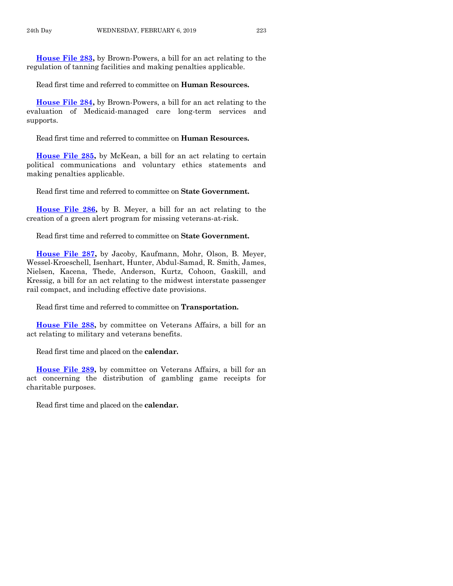**[House File 283,](https://www.legis.iowa.gov/legislation/BillBook?ga=88&ba=HF283)** by Brown-Powers, a bill for an act relating to the regulation of tanning facilities and making penalties applicable.

Read first time and referred to committee on **Human Resources.**

**[House File 284,](https://www.legis.iowa.gov/legislation/BillBook?ga=88&ba=HF284)** by Brown-Powers, a bill for an act relating to the evaluation of Medicaid-managed care long-term services and supports.

Read first time and referred to committee on **Human Resources.**

**[House File 285,](https://www.legis.iowa.gov/legislation/BillBook?ga=88&ba=HF285)** by McKean, a bill for an act relating to certain political communications and voluntary ethics statements and making penalties applicable.

Read first time and referred to committee on **State Government.**

**[House File 286,](https://www.legis.iowa.gov/legislation/BillBook?ga=88&ba=HF286)** by B. Meyer, a bill for an act relating to the creation of a green alert program for missing veterans-at-risk.

Read first time and referred to committee on **State Government.**

**[House File 287,](https://www.legis.iowa.gov/legislation/BillBook?ga=88&ba=HF287)** by Jacoby, Kaufmann, Mohr, Olson, B. Meyer, Wessel-Kroeschell, Isenhart, Hunter, Abdul-Samad, R. Smith, James, Nielsen, Kacena, Thede, Anderson, Kurtz, Cohoon, Gaskill, and Kressig, a bill for an act relating to the midwest interstate passenger rail compact, and including effective date provisions.

Read first time and referred to committee on **Transportation.**

**[House File 288,](https://www.legis.iowa.gov/legislation/BillBook?ga=88&ba=HF288)** by committee on Veterans Affairs, a bill for an act relating to military and veterans benefits.

Read first time and placed on the **calendar.**

**[House File 289,](https://www.legis.iowa.gov/legislation/BillBook?ga=88&ba=HF289)** by committee on Veterans Affairs, a bill for an act concerning the distribution of gambling game receipts for charitable purposes.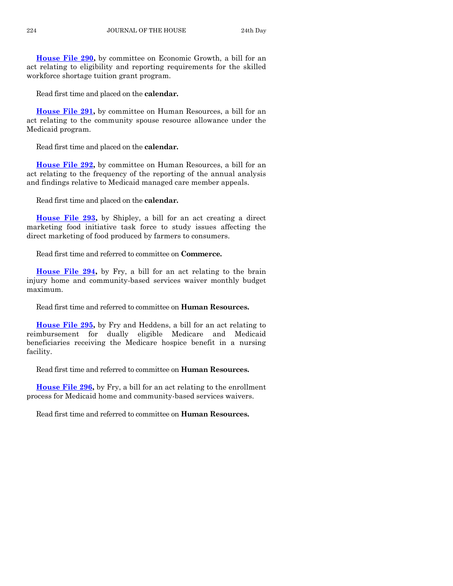**[House File 290,](https://www.legis.iowa.gov/legislation/BillBook?ga=88&ba=HF290)** by committee on Economic Growth, a bill for an act relating to eligibility and reporting requirements for the skilled workforce shortage tuition grant program.

Read first time and placed on the **calendar.**

**[House File 291,](https://www.legis.iowa.gov/legislation/BillBook?ga=88&ba=HF291)** by committee on Human Resources, a bill for an act relating to the community spouse resource allowance under the Medicaid program.

Read first time and placed on the **calendar.**

**[House File 292,](https://www.legis.iowa.gov/legislation/BillBook?ga=88&ba=HF292)** by committee on Human Resources, a bill for an act relating to the frequency of the reporting of the annual analysis and findings relative to Medicaid managed care member appeals.

Read first time and placed on the **calendar.**

**[House File 293,](https://www.legis.iowa.gov/legislation/BillBook?ga=88&ba=HF293)** by Shipley, a bill for an act creating a direct marketing food initiative task force to study issues affecting the direct marketing of food produced by farmers to consumers.

Read first time and referred to committee on **Commerce.**

**[House File 294,](https://www.legis.iowa.gov/legislation/BillBook?ga=88&ba=HF294)** by Fry, a bill for an act relating to the brain injury home and community-based services waiver monthly budget maximum.

Read first time and referred to committee on **Human Resources.**

**[House File 295,](https://www.legis.iowa.gov/legislation/BillBook?ga=88&ba=HF295)** by Fry and Heddens, a bill for an act relating to reimbursement for dually eligible Medicare and Medicaid beneficiaries receiving the Medicare hospice benefit in a nursing facility.

Read first time and referred to committee on **Human Resources.**

**[House File 296,](https://www.legis.iowa.gov/legislation/BillBook?ga=88&ba=HF296)** by Fry, a bill for an act relating to the enrollment process for Medicaid home and community-based services waivers.

Read first time and referred to committee on **Human Resources.**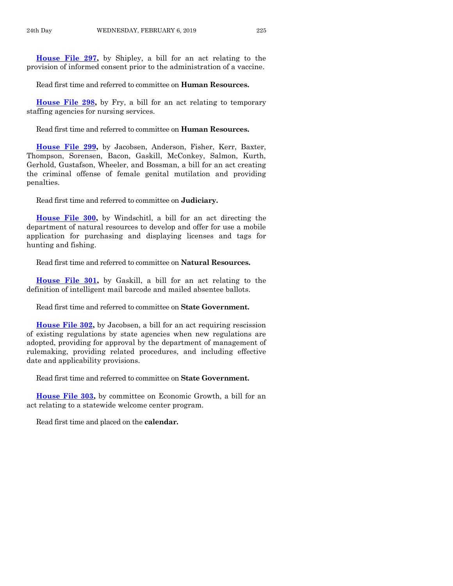**[House File 297,](https://www.legis.iowa.gov/legislation/BillBook?ga=88&ba=HF297)** by Shipley, a bill for an act relating to the provision of informed consent prior to the administration of a vaccine.

Read first time and referred to committee on **Human Resources.**

**[House File 298,](https://www.legis.iowa.gov/legislation/BillBook?ga=88&ba=HF298)** by Fry, a bill for an act relating to temporary staffing agencies for nursing services.

Read first time and referred to committee on **Human Resources.**

**[House File 299,](https://www.legis.iowa.gov/legislation/BillBook?ga=88&ba=HF299)** by Jacobsen, Anderson, Fisher, Kerr, Baxter, Thompson, Sorensen, Bacon, Gaskill, McConkey, Salmon, Kurth, Gerhold, Gustafson, Wheeler, and Bossman, a bill for an act creating the criminal offense of female genital mutilation and providing penalties.

Read first time and referred to committee on **Judiciary.**

**[House File 300,](https://www.legis.iowa.gov/legislation/BillBook?ga=88&ba=HF300)** by Windschitl, a bill for an act directing the department of natural resources to develop and offer for use a mobile application for purchasing and displaying licenses and tags for hunting and fishing.

Read first time and referred to committee on **Natural Resources.**

**[House File 301,](https://www.legis.iowa.gov/legislation/BillBook?ga=88&ba=HF301)** by Gaskill, a bill for an act relating to the definition of intelligent mail barcode and mailed absentee ballots.

Read first time and referred to committee on **State Government.**

**[House File 302,](https://www.legis.iowa.gov/legislation/BillBook?ga=88&ba=HF302)** by Jacobsen, a bill for an act requiring rescission of existing regulations by state agencies when new regulations are adopted, providing for approval by the department of management of rulemaking, providing related procedures, and including effective date and applicability provisions.

Read first time and referred to committee on **State Government.**

**[House File 303,](https://www.legis.iowa.gov/legislation/BillBook?ga=88&ba=HF303)** by committee on Economic Growth, a bill for an act relating to a statewide welcome center program.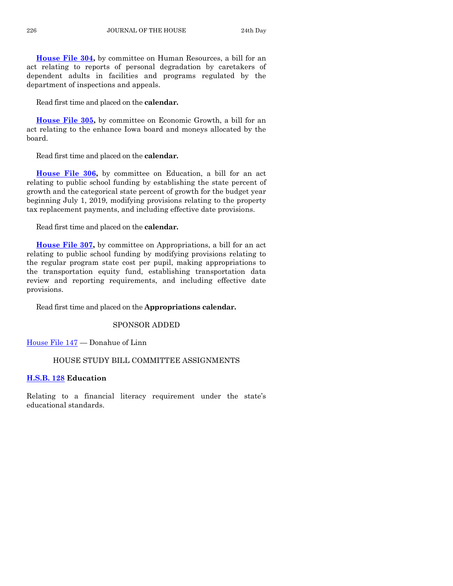**[House File 304,](https://www.legis.iowa.gov/legislation/BillBook?ga=88&ba=HF304)** by committee on Human Resources, a bill for an act relating to reports of personal degradation by caretakers of dependent adults in facilities and programs regulated by the department of inspections and appeals.

Read first time and placed on the **calendar.**

**[House File 305,](https://www.legis.iowa.gov/legislation/BillBook?ga=88&ba=HF305)** by committee on Economic Growth, a bill for an act relating to the enhance Iowa board and moneys allocated by the board.

Read first time and placed on the **calendar.**

**[House File 306,](https://www.legis.iowa.gov/legislation/BillBook?ga=88&ba=HF306)** by committee on Education, a bill for an act relating to public school funding by establishing the state percent of growth and the categorical state percent of growth for the budget year beginning July 1, 2019, modifying provisions relating to the property tax replacement payments, and including effective date provisions.

Read first time and placed on the **calendar.**

**[House File 307,](https://www.legis.iowa.gov/legislation/BillBook?ga=88&ba=HF307)** by committee on Appropriations, a bill for an act relating to public school funding by modifying provisions relating to the regular program state cost per pupil, making appropriations to the transportation equity fund, establishing transportation data review and reporting requirements, and including effective date provisions.

Read first time and placed on the **Appropriations calendar.**

#### SPONSOR ADDED

[House File 147](https://www.legis.iowa.gov/legislation/BillBook?ga=88&ba=HF147) — Donahue of Linn

# HOUSE STUDY BILL COMMITTEE ASSIGNMENTS

## **[H.S.B. 128](https://www.legis.iowa.gov/legislation/BillBook?ga=88&ba=HSB128) Education**

Relating to a financial literacy requirement under the state's educational standards.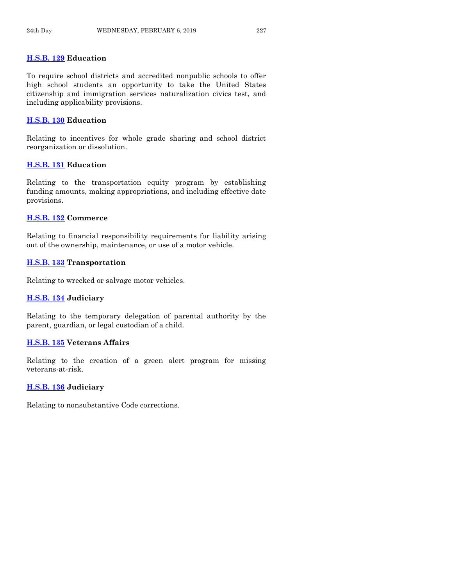# **[H.S.B. 129](https://www.legis.iowa.gov/legislation/BillBook?ga=88&ba=HSB129) Education**

To require school districts and accredited nonpublic schools to offer high school students an opportunity to take the United States citizenship and immigration services naturalization civics test, and including applicability provisions.

# **[H.S.B. 130](https://www.legis.iowa.gov/legislation/BillBook?ga=88&ba=HSB130) Education**

Relating to incentives for whole grade sharing and school district reorganization or dissolution.

# **[H.S.B. 131](https://www.legis.iowa.gov/legislation/BillBook?ga=88&ba=HSB131) Education**

Relating to the transportation equity program by establishing funding amounts, making appropriations, and including effective date provisions.

## **[H.S.B. 132](https://www.legis.iowa.gov/legislation/BillBook?ga=88&ba=HSB132) Commerce**

Relating to financial responsibility requirements for liability arising out of the ownership, maintenance, or use of a motor vehicle.

## **[H.S.B. 133](https://www.legis.iowa.gov/legislation/BillBook?ga=88&ba=HSB133) Transportation**

Relating to wrecked or salvage motor vehicles.

#### **[H.S.B. 134](https://www.legis.iowa.gov/legislation/BillBook?ga=88&ba=HSB134) Judiciary**

Relating to the temporary delegation of parental authority by the parent, guardian, or legal custodian of a child.

# **[H.S.B. 135](https://www.legis.iowa.gov/legislation/BillBook?ga=88&ba=HSB135) Veterans Affairs**

Relating to the creation of a green alert program for missing veterans-at-risk.

# **[H.S.B. 136](https://www.legis.iowa.gov/legislation/BillBook?ga=88&ba=HSB136) Judiciary**

Relating to nonsubstantive Code corrections.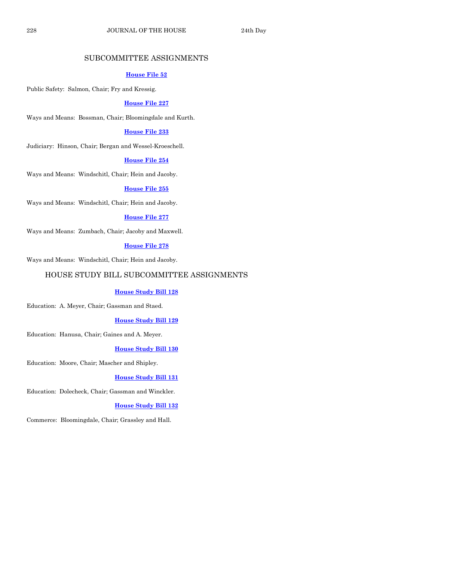# SUBCOMMITTEE ASSIGNMENTS

#### **[House File 52](https://www.legis.iowa.gov/legislation/BillBook?ga=88&ba=HF52)**

Public Safety: Salmon, Chair; Fry and Kressig.

#### **[House File 227](https://www.legis.iowa.gov/legislation/BillBook?ga=88&ba=HF227)**

Ways and Means: Bossman, Chair; Bloomingdale and Kurth.

#### **[House File 233](https://www.legis.iowa.gov/legislation/BillBook?ga=88&ba=HF233)**

Judiciary: Hinson, Chair; Bergan and Wessel-Kroeschell.

#### **[House File 254](https://www.legis.iowa.gov/legislation/BillBook?ga=88&ba=HF254)**

Ways and Means: Windschitl, Chair; Hein and Jacoby.

#### **[House File 255](https://www.legis.iowa.gov/legislation/BillBook?ga=88&ba=HF255)**

Ways and Means: Windschitl, Chair; Hein and Jacoby.

#### **[House File 277](https://www.legis.iowa.gov/legislation/BillBook?ga=88&ba=HF277)**

Ways and Means: Zumbach, Chair; Jacoby and Maxwell.

#### **[House File 278](https://www.legis.iowa.gov/legislation/BillBook?ga=88&ba=HF278)**

Ways and Means: Windschitl, Chair; Hein and Jacoby.

# HOUSE STUDY BILL SUBCOMMITTEE ASSIGNMENTS

#### **[House Study Bill 128](https://www.legis.iowa.gov/legislation/BillBook?ga=88&ba=HSB128)**

Education: A. Meyer, Chair; Gassman and Staed.

#### **[House Study Bill 129](https://www.legis.iowa.gov/legislation/BillBook?ga=88&ba=HSB129)**

Education: Hanusa, Chair; Gaines and A. Meyer.

#### **[House Study Bill 130](https://www.legis.iowa.gov/legislation/BillBook?ga=88&ba=HSB130)**

Education: Moore, Chair; Mascher and Shipley.

#### **[House Study Bill 131](https://www.legis.iowa.gov/legislation/BillBook?ga=88&ba=HSB131)**

Education: Dolecheck, Chair; Gassman and Winckler.

#### **[House Study Bill 132](https://www.legis.iowa.gov/legislation/BillBook?ga=88&ba=HSB132)**

Commerce: Bloomingdale, Chair; Grassley and Hall.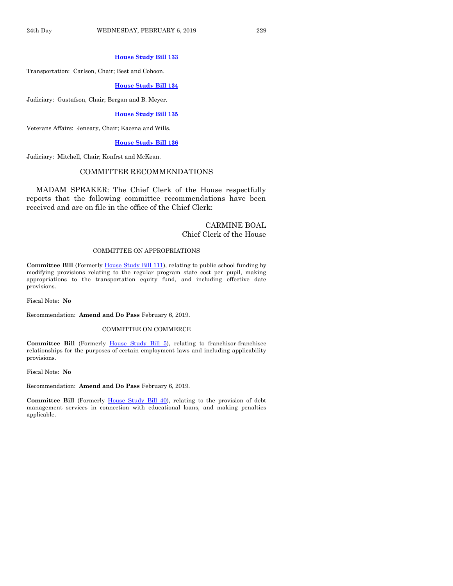#### **[House Study Bill 133](https://www.legis.iowa.gov/legislation/BillBook?ga=88&ba=HSB133)**

Transportation: Carlson, Chair; Best and Cohoon.

#### **[House Study Bill 134](https://www.legis.iowa.gov/legislation/BillBook?ga=88&ba=HSB134)**

Judiciary: Gustafson, Chair; Bergan and B. Meyer.

#### **[House Study Bill 135](https://www.legis.iowa.gov/legislation/BillBook?ga=88&ba=HSB135)**

Veterans Affairs: Jeneary, Chair; Kacena and Wills.

#### **[House Study Bill 136](https://www.legis.iowa.gov/legislation/BillBook?ga=88&ba=HSB136)**

Judiciary: Mitchell, Chair; Konfrst and McKean.

#### COMMITTEE RECOMMENDATIONS

MADAM SPEAKER: The Chief Clerk of the House respectfully reports that the following committee recommendations have been received and are on file in the office of the Chief Clerk:

# CARMINE BOAL Chief Clerk of the House

#### COMMITTEE ON APPROPRIATIONS

**Committee Bill** (Formerly [House Study Bill 111\)](https://www.legis.iowa.gov/legislation/BillBook?ga=88&ba=HSB111), relating to public school funding by modifying provisions relating to the regular program state cost per pupil, making appropriations to the transportation equity fund, and including effective date provisions.

Fiscal Note: **No**

Recommendation: **Amend and Do Pass** February 6, 2019.

#### COMMITTEE ON COMMERCE

**Committee Bill** (Formerly [House Study Bill 5\)](https://www.legis.iowa.gov/legislation/BillBook?ga=88&ba=HSB5), relating to franchisor-franchisee relationships for the purposes of certain employment laws and including applicability provisions.

Fiscal Note: **No**

Recommendation: **Amend and Do Pass** February 6, 2019.

**Committee Bill** (Formerly [House Study Bill 40\)](https://www.legis.iowa.gov/legislation/BillBook?ga=88&ba=HSB40), relating to the provision of debt management services in connection with educational loans, and making penalties applicable.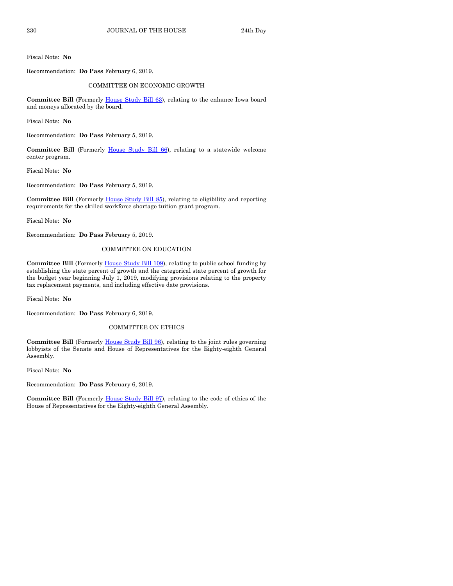Fiscal Note: **No**

Recommendation: **Do Pass** February 6, 2019.

#### COMMITTEE ON ECONOMIC GROWTH

Committee Bill (Formerly *House Study Bill 63)*, relating to the enhance Iowa board and moneys allocated by the board.

Fiscal Note: **No**

Recommendation: **Do Pass** February 5, 2019.

**Committee Bill** (Formerly House [Study Bill 66\)](https://www.legis.iowa.gov/legislation/BillBook?ga=88&ba=HSB66), relating to a statewide welcome center program.

Fiscal Note: **No**

Recommendation: **Do Pass** February 5, 2019.

**Committee Bill** (Formerly [House Study Bill 85\)](https://www.legis.iowa.gov/legislation/BillBook?ga=88&ba=HSB85), relating to eligibility and reporting requirements for the skilled workforce shortage tuition grant program.

Fiscal Note: **No**

Recommendation: **Do Pass** February 5, 2019.

#### COMMITTEE ON EDUCATION

**Committee Bill** (Formerly [House Study Bill 109\)](https://www.legis.iowa.gov/legislation/BillBook?ga=88&ba=HSB109), relating to public school funding by establishing the state percent of growth and the categorical state percent of growth for the budget year beginning July 1, 2019, modifying provisions relating to the property tax replacement payments, and including effective date provisions.

Fiscal Note: **No**

Recommendation: **Do Pass** February 6, 2019.

#### COMMITTEE ON ETHICS

**Committee Bill** (Formerly [House Study Bill 96\)](https://www.legis.iowa.gov/legislation/BillBook?ga=88&ba=HSB96), relating to the joint rules governing lobbyists of the Senate and House of Representatives for the Eighty-eighth General Assembly.

Fiscal Note: **No**

Recommendation: **Do Pass** February 6, 2019.

**Committee Bill** (Formerly [House Study Bill 97\)](https://www.legis.iowa.gov/legislation/BillBook?ga=88&ba=HSB97), relating to the code of ethics of the House of Representatives for the Eighty-eighth General Assembly.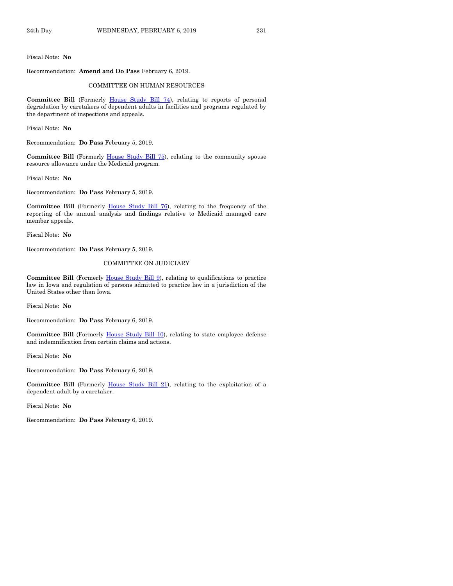Fiscal Note: **No**

Recommendation: **Amend and Do Pass** February 6, 2019.

#### COMMITTEE ON HUMAN RESOURCES

Committee Bill (Formerly [House Study Bill 74\)](https://www.legis.iowa.gov/legislation/BillBook?ga=88&ba=HSB74), relating to reports of personal degradation by caretakers of dependent adults in facilities and programs regulated by the department of inspections and appeals.

Fiscal Note: **No**

Recommendation: **Do Pass** February 5, 2019.

Committee Bill (Formerly [House Study Bill 75\)](https://www.legis.iowa.gov/legislation/BillBook?ga=88&ba=HSB75), relating to the community spouse resource allowance under the Medicaid program.

Fiscal Note: **No**

Recommendation: **Do Pass** February 5, 2019.

**Committee Bill** (Formerly [House Study Bill 76\)](https://www.legis.iowa.gov/legislation/BillBook?ga=88&ba=HSB76), relating to the frequency of the reporting of the annual analysis and findings relative to Medicaid managed care member appeals.

Fiscal Note: **No**

Recommendation: **Do Pass** February 5, 2019.

#### COMMITTEE ON JUDICIARY

**Committee Bill** (Formerly [House Study Bill 9\)](https://www.legis.iowa.gov/legislation/BillBook?ga=88&ba=HSB9), relating to qualifications to practice law in Iowa and regulation of persons admitted to practice law in a jurisdiction of the United States other than Iowa.

Fiscal Note: **No**

Recommendation: **Do Pass** February 6, 2019.

Committee Bill (Formerly **House Study Bill 10)**, relating to state employee defense and indemnification from certain claims and actions.

Fiscal Note: **No**

Recommendation: **Do Pass** February 6, 2019.

**Committee Bill** (Formerly [House Study Bill 21\)](https://www.legis.iowa.gov/legislation/BillBook?ga=88&ba=HSB21), relating to the exploitation of a dependent adult by a caretaker.

Fiscal Note: **No**

Recommendation: **Do Pass** February 6, 2019.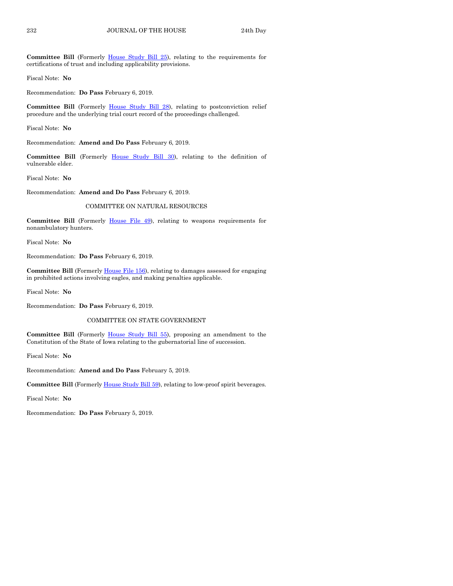Committee Bill (Formerly [House Study Bill 25\)](https://www.legis.iowa.gov/legislation/BillBook?ga=88&ba=HSB25), relating to the requirements for certifications of trust and including applicability provisions.

Fiscal Note: **No**

Recommendation: **Do Pass** February 6, 2019.

**Committee Bill** (Formerly [House Study Bill 28\)](https://www.legis.iowa.gov/legislation/BillBook?ga=88&ba=HSB28), relating to postconviction relief procedure and the underlying trial court record of the proceedings challenged.

Fiscal Note: **No**

Recommendation: **Amend and Do Pass** February 6, 2019.

**Committee Bill** (Formerly [House Study Bill 30\)](https://www.legis.iowa.gov/legislation/BillBook?ga=88&ba=HSB30), relating to the definition of vulnerable elder.

Fiscal Note: **No**

Recommendation: **Amend and Do Pass** February 6, 2019.

#### COMMITTEE ON NATURAL RESOURCES

**Committee Bill** (Formerly [House File 49\)](https://www.legis.iowa.gov/legislation/BillBook?ga=88&ba=HF49), relating to weapons requirements for nonambulatory hunters.

Fiscal Note: **No**

Recommendation: **Do Pass** February 6, 2019.

**Committee Bill** (Formerl[y House File 156\)](https://www.legis.iowa.gov/legislation/BillBook?ga=88&ba=HF156), relating to damages assessed for engaging in prohibited actions involving eagles, and making penalties applicable.

Fiscal Note: **No**

Recommendation: **Do Pass** February 6, 2019.

#### COMMITTEE ON STATE GOVERNMENT

Committee Bill (Formerly [House Study Bill 55\)](https://www.legis.iowa.gov/legislation/BillBook?ga=88&ba=HSB55), proposing an amendment to the Constitution of the State of Iowa relating to the gubernatorial line of succession.

Fiscal Note: **No**

Recommendation: **Amend and Do Pass** February 5, 2019.

**Committee Bill** (Formerly [House Study Bill 59\)](https://www.legis.iowa.gov/legislation/BillBook?ga=88&ba=HSB59), relating to low-proof spirit beverages.

Fiscal Note: **No**

Recommendation: **Do Pass** February 5, 2019.